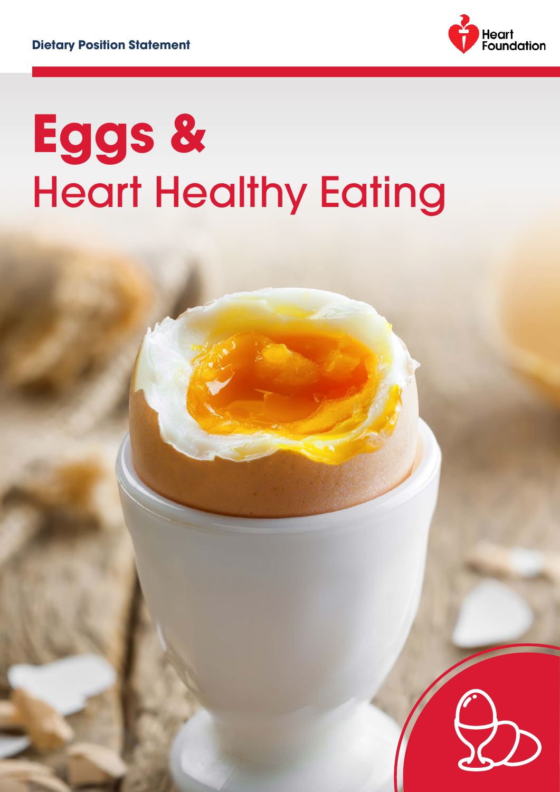

# **Eggs &**  Heart Healthy Eating

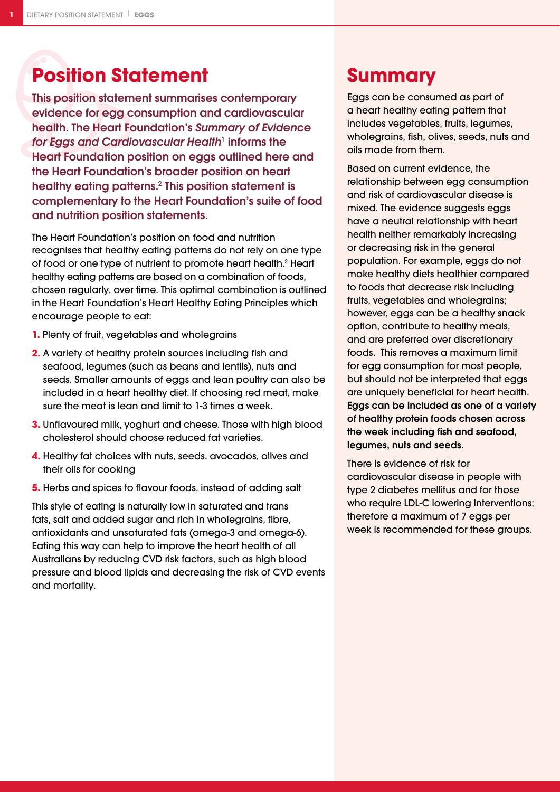# **Position Statement**

This position statement summarises contemporary evidence for egg consumption and cardiovascular health. The Heart Foundation's *Summary of Evidence*  for Eggs and Cardiovascular Health<sup>1</sup> informs the Heart Foundation position on eggs outlined here and the Heart Foundation's broader position on heart healthy eating patterns.<sup>2</sup> This position statement is complementary to the Heart Foundation's suite of food and nutrition position statements.

The Heart Foundation's position on food and nutrition recognises that healthy eating patterns do not rely on one type of food or one type of nutrient to promote heart health.<sup>2</sup> Heart healthy eating patterns are based on a combination of foods, chosen regularly, over time. This optimal combination is outlined in the Heart Foundation's Heart Healthy Eating Principles which encourage people to eat:

- **1.** Plenty of fruit, vegetables and wholegrains
- **2.** A variety of healthy protein sources including fish and seafood, legumes (such as beans and lentils), nuts and seeds. Smaller amounts of eggs and lean poultry can also be included in a heart healthy diet. If choosing red meat, make sure the meat is lean and limit to 1-3 times a week.
- **3.** Unflavoured milk, yoghurt and cheese. Those with high blood cholesterol should choose reduced fat varieties.
- **4.** Healthy fat choices with nuts, seeds, avocados, olives and their oils for cooking
- **5.** Herbs and spices to flavour foods, instead of adding salt

This style of eating is naturally low in saturated and trans fats, salt and added sugar and rich in wholegrains, fibre, antioxidants and unsaturated fats (omega-3 and omega-6). Eating this way can help to improve the heart health of all Australians by reducing CVD risk factors, such as high blood pressure and blood lipids and decreasing the risk of CVD events and mortality.

## **Summary**

Eggs can be consumed as part of a heart healthy eating pattern that includes vegetables, fruits, legumes, wholegrains, fish, olives, seeds, nuts and oils made from them.

Based on current evidence, the relationship between egg consumption and risk of cardiovascular disease is mixed. The evidence suggests eggs have a neutral relationship with heart health neither remarkably increasing or decreasing risk in the general population. For example, eggs do not make healthy diets healthier compared to foods that decrease risk including fruits, vegetables and wholegrains; however, eggs can be a healthy snack option, contribute to healthy meals, and are preferred over discretionary foods. This removes a maximum limit for egg consumption for most people, but should not be interpreted that eggs are uniquely beneficial for heart health. Eggs can be included as one of a variety of healthy protein foods chosen across the week including fish and seafood, legumes, nuts and seeds.

There is evidence of risk for cardiovascular disease in people with type 2 diabetes mellitus and for those who require LDL-C lowering interventions; therefore a maximum of 7 eggs per week is recommended for these groups.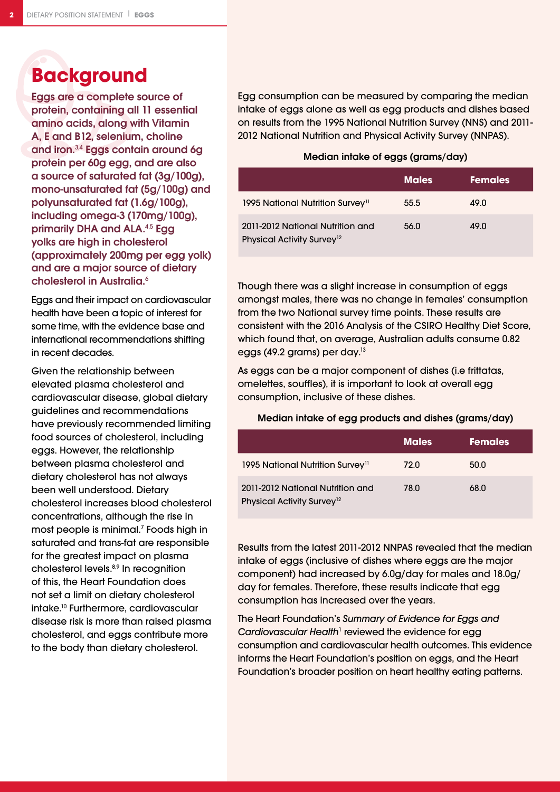## **Background**

Eggs are a complete source of protein, containing all 11 essential amino acids, along with Vitamin A, E and B12, selenium, choline and iron.3,4 Eggs contain around 6g protein per 60g egg, and are also a source of saturated fat (3g/100g), mono-unsaturated fat (5g/100g) and polyunsaturated fat (1.6g/100g), including omega-3 (170mg/100g), primarily DHA and ALA.<sup>4,5</sup> Egg yolks are high in cholesterol (approximately 200mg per egg yolk) and are a major source of dietary cholesterol in Australia.<sup>6</sup>

Eggs and their impact on cardiovascular health have been a topic of interest for some time, with the evidence base and international recommendations shifting in recent decades.

Given the relationship between elevated plasma cholesterol and cardiovascular disease, global dietary guidelines and recommendations have previously recommended limiting food sources of cholesterol, including eggs. However, the relationship between plasma cholesterol and dietary cholesterol has not always been well understood. Dietary cholesterol increases blood cholesterol concentrations, although the rise in most people is minimal.7 Foods high in saturated and trans-fat are responsible for the greatest impact on plasma cholesterol levels.<sup>8,9</sup> In recognition of this, the Heart Foundation does not set a limit on dietary cholesterol intake.10 Furthermore, cardiovascular disease risk is more than raised plasma cholesterol, and eggs contribute more to the body than dietary cholesterol.

Egg consumption can be measured by comparing the median intake of eggs alone as well as egg products and dishes based on results from the 1995 National Nutrition Survey (NNS) and 2011- 2012 National Nutrition and Physical Activity Survey (NNPAS).

#### Median intake of eggs (grams/day)

|                                                                            | <b>Males</b> | <b>Females</b> |
|----------------------------------------------------------------------------|--------------|----------------|
| 1995 National Nutrition Survey <sup>11</sup>                               | 55.5         | 49.0           |
| 2011-2012 National Nutrition and<br>Physical Activity Survey <sup>12</sup> | 56.0         | 49.0           |

Though there was a slight increase in consumption of eggs amongst males, there was no change in females' consumption from the two National survey time points. These results are consistent with the 2016 Analysis of the CSIRO Healthy Diet Score, which found that, on average, Australian adults consume 0.82 eggs (49.2 grams) per day.<sup>13</sup>

As eggs can be a major component of dishes (i.e frittatas, omelettes, souffles), it is important to look at overall egg consumption, inclusive of these dishes.

#### Median intake of egg products and dishes (grams/day)

|                                                                            | <b>Males</b> | <b>Females</b> ' |
|----------------------------------------------------------------------------|--------------|------------------|
| 1995 National Nutrition Survey <sup>11</sup>                               | 72.0         | 50.0             |
| 2011-2012 National Nutrition and<br>Physical Activity Survey <sup>12</sup> | 78.0         | 68.0             |

Results from the latest 2011-2012 NNPAS revealed that the median intake of eggs (inclusive of dishes where eggs are the major component) had increased by 6.0g/day for males and 18.0g/ day for females. Therefore, these results indicate that egg consumption has increased over the years.

The Heart Foundation's *Summary of Evidence for Eggs and*  Cardiovascular Health<sup>1</sup> reviewed the evidence for egg consumption and cardiovascular health outcomes. This evidence informs the Heart Foundation's position on eggs, and the Heart Foundation's broader position on heart healthy eating patterns.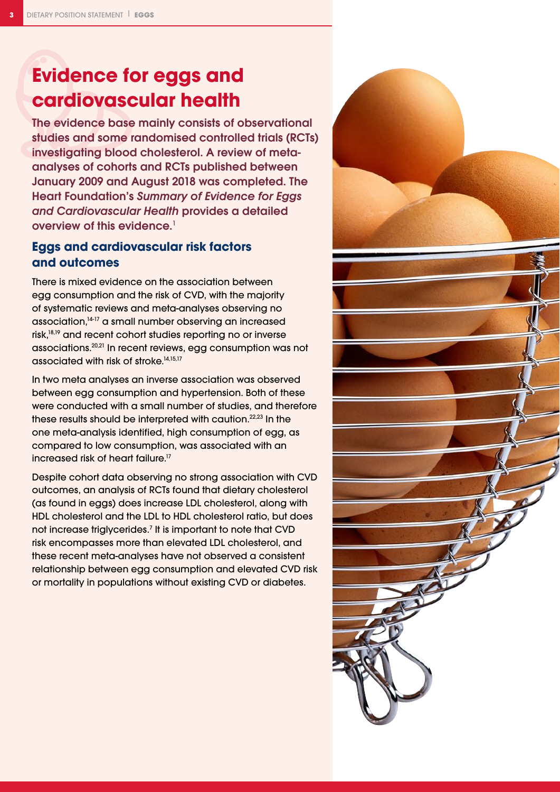# **Evidence for eggs and cardiovascular health**

The evidence base mainly consists of observational studies and some randomised controlled trials (RCTs) investigating blood cholesterol. A review of metaanalyses of cohorts and RCTs published between January 2009 and August 2018 was completed. The Heart Foundation's *Summary of Evidence for Eggs and Cardiovascular Health* provides a detailed overview of this evidence.<sup>1</sup>

## **Eggs and cardiovascular risk factors and outcomes**

There is mixed evidence on the association between egg consumption and the risk of CVD, with the majority of systematic reviews and meta-analyses observing no association,14-17 a small number observing an increased risk,18,19 and recent cohort studies reporting no or inverse associations.20,21 In recent reviews, egg consumption was not associated with risk of stroke.<sup>14,15,17</sup>

In two meta analyses an inverse association was observed between egg consumption and hypertension. Both of these were conducted with a small number of studies, and therefore these results should be interpreted with caution.<sup>22,23</sup> In the one meta-analysis identified, high consumption of egg, as compared to low consumption, was associated with an increased risk of heart failure.<sup>17</sup>

Despite cohort data observing no strong association with CVD outcomes, an analysis of RCTs found that dietary cholesterol (as found in eggs) does increase LDL cholesterol, along with HDL cholesterol and the LDL to HDL cholesterol ratio, but does not increase triglycerides.<sup>7</sup> It is important to note that CVD risk encompasses more than elevated LDL cholesterol, and these recent meta-analyses have not observed a consistent relationship between egg consumption and elevated CVD risk or mortality in populations without existing CVD or diabetes.

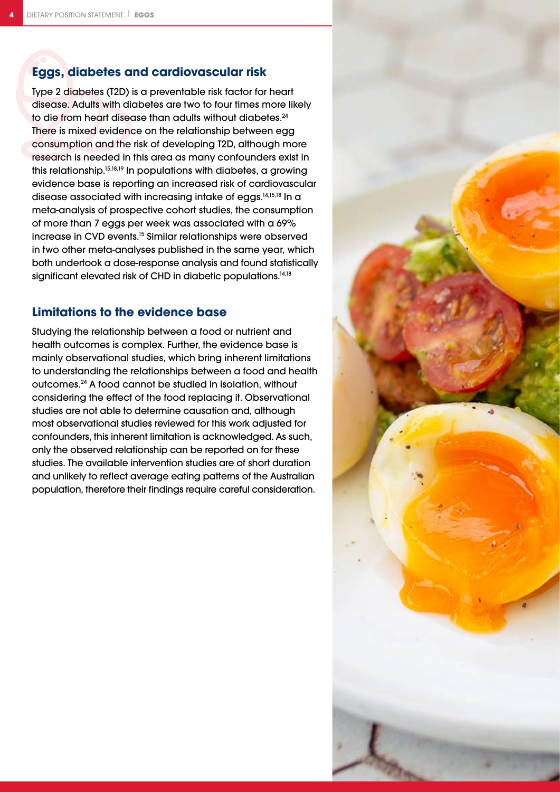### **Eggs, diabetes and cardiovascular risk**

Type 2 diabetes (T2D) is a preventable risk factor for heart disease. Adults with diabetes are two to four times more likely to die from heart disease than adults without diabetes.<sup>24</sup> There is mixed evidence on the relationship between egg consumption and the risk of developing T2D, although more research is needed in this area as many confounders exist in this relationship.15,18,19 In populations with diabetes, a growing evidence base is reporting an increased risk of cardiovascular disease associated with increasing intake of eggs.14,15,18 In a meta-analysis of prospective cohort studies, the consumption of more than 7 eggs per week was associated with a 69% increase in CVD events.15 Similar relationships were observed in two other meta-analyses published in the same year, which both undertook a dose-response analysis and found statistically significant elevated risk of CHD in diabetic populations.<sup>14,18</sup>

### **Limitations to the evidence base**

Studying the relationship between a food or nutrient and health outcomes is complex. Further, the evidence base is mainly observational studies, which bring inherent limitations to understanding the relationships between a food and health outcomes.24 A food cannot be studied in isolation, without considering the effect of the food replacing it. Observational studies are not able to determine causation and, although most observational studies reviewed for this work adjusted for confounders, this inherent limitation is acknowledged. As such, only the observed relationship can be reported on for these studies. The available intervention studies are of short duration and unlikely to reflect average eating patterns of the Australian population, therefore their findings require careful consideration.

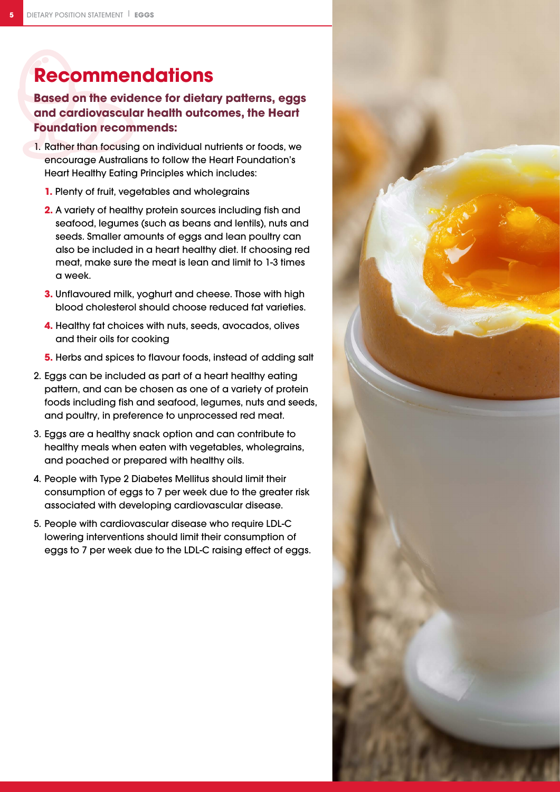# **Recommendations**

## **Based on the evidence for dietary patterns, eggs and cardiovascular health outcomes, the Heart Foundation recommends:**

- 1. Rather than focusing on individual nutrients or foods, we encourage Australians to follow the Heart Foundation's Heart Healthy Eating Principles which includes:
	- **1.** Plenty of fruit, vegetables and wholegrains
	- **2.** A variety of healthy protein sources including fish and seafood, legumes (such as beans and lentils), nuts and seeds. Smaller amounts of eggs and lean poultry can also be included in a heart healthy diet. If choosing red meat, make sure the meat is lean and limit to 1-3 times a week.
	- **3.** Unflavoured milk, yoghurt and cheese. Those with high blood cholesterol should choose reduced fat varieties.
	- **4.** Healthy fat choices with nuts, seeds, avocados, olives and their oils for cooking
	- **5.** Herbs and spices to flavour foods, instead of adding salt
- 2. Eggs can be included as part of a heart healthy eating pattern, and can be chosen as one of a variety of protein foods including fish and seafood, legumes, nuts and seeds, and poultry, in preference to unprocessed red meat.
- 3. Eggs are a healthy snack option and can contribute to healthy meals when eaten with vegetables, wholegrains, and poached or prepared with healthy oils.
- 4. People with Type 2 Diabetes Mellitus should limit their consumption of eggs to 7 per week due to the greater risk associated with developing cardiovascular disease.
- 5. People with cardiovascular disease who require LDL-C lowering interventions should limit their consumption of eggs to 7 per week due to the LDL-C raising effect of eggs.

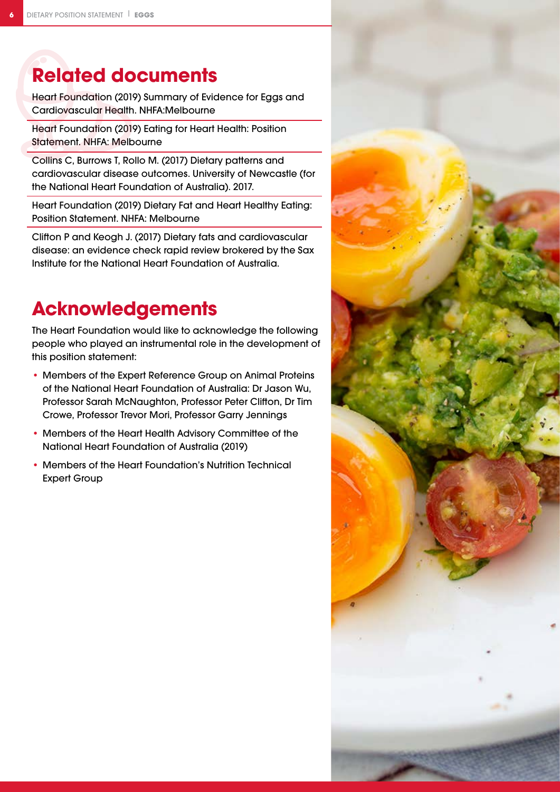## **Related documents**

Heart Foundation (2019) Summary of Evidence for Eggs and Cardiovascular Health. NHFA:Melbourne

Heart Foundation (2019) Eating for Heart Health: Position Statement. NHFA: Melbourne

Collins C, Burrows T, Rollo M. (2017) Dietary patterns and cardiovascular disease outcomes. University of Newcastle (for the National Heart Foundation of Australia). 2017.

Heart Foundation (2019) Dietary Fat and Heart Healthy Eating: Position Statement. NHFA: Melbourne

Clifton P and Keogh J. (2017) Dietary fats and cardiovascular disease: an evidence check rapid review brokered by the Sax Institute for the National Heart Foundation of Australia.

## **Acknowledgements**

The Heart Foundation would like to acknowledge the following people who played an instrumental role in the development of this position statement:

- Members of the Expert Reference Group on Animal Proteins of the National Heart Foundation of Australia: Dr Jason Wu, Professor Sarah McNaughton, Professor Peter Clifton, Dr Tim Crowe, Professor Trevor Mori, Professor Garry Jennings
- Members of the Heart Health Advisory Committee of the National Heart Foundation of Australia (2019)
- Members of the Heart Foundation's Nutrition Technical Expert Group